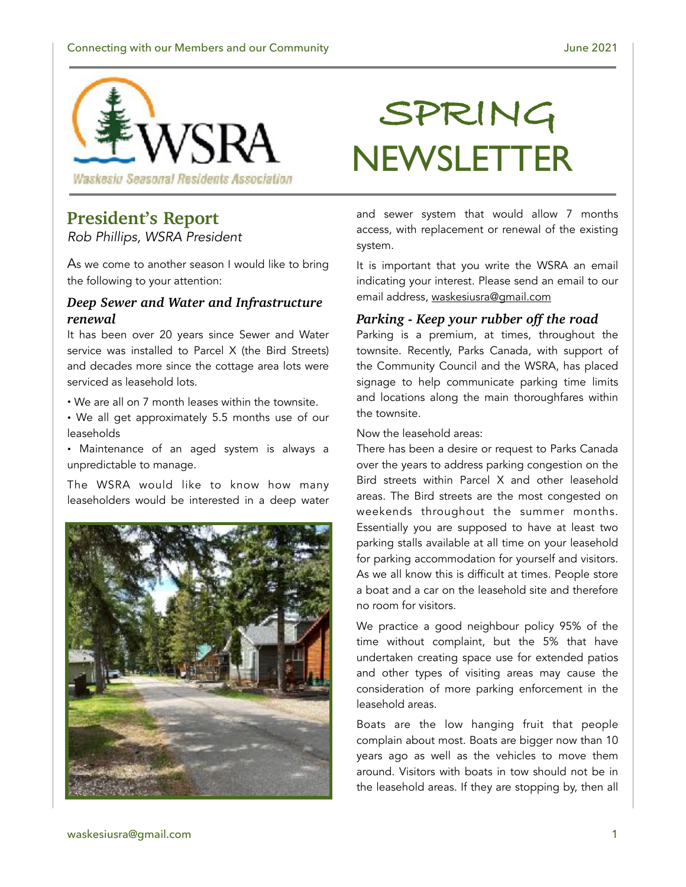

# **President's Report**

*Rob Phillips, WSRA President* 

As we come to another season I would like to bring the following to your attention:

## *Deep Sewer and Water and Infrastructure renewal*

It has been over 20 years since Sewer and Water service was installed to Parcel X (the Bird Streets) and decades more since the cottage area lots were serviced as leasehold lots.

• We are all on 7 month leases within the townsite.

• We all get approximately 5.5 months use of our leaseholds

• Maintenance of an aged system is always a unpredictable to manage.

The WSRA would like to know how many leaseholders would be interested in a deep water



# **SPRING** NEWSLETTER

and sewer system that would allow 7 months access, with replacement or renewal of the existing system.

It is important that you write the WSRA an email indicating your interest. Please send an email to our email address, [waskesiusra@gmail.com](mailto:waskesiusra@gmail.com)

# *Parking - Keep your rubber off the road*

Parking is a premium, at times, throughout the townsite. Recently, Parks Canada, with support of the Community Council and the WSRA, has placed signage to help communicate parking time limits and locations along the main thoroughfares within the townsite.

#### Now the leasehold areas:

There has been a desire or request to Parks Canada over the years to address parking congestion on the Bird streets within Parcel X and other leasehold areas. The Bird streets are the most congested on weekends throughout the summer months. Essentially you are supposed to have at least two parking stalls available at all time on your leasehold for parking accommodation for yourself and visitors. As we all know this is difficult at times. People store a boat and a car on the leasehold site and therefore no room for visitors.

We practice a good neighbour policy 95% of the time without complaint, but the 5% that have undertaken creating space use for extended patios and other types of visiting areas may cause the consideration of more parking enforcement in the leasehold areas.

Boats are the low hanging fruit that people complain about most. Boats are bigger now than 10 years ago as well as the vehicles to move them around. Visitors with boats in tow should not be in the leasehold areas. If they are stopping by, then all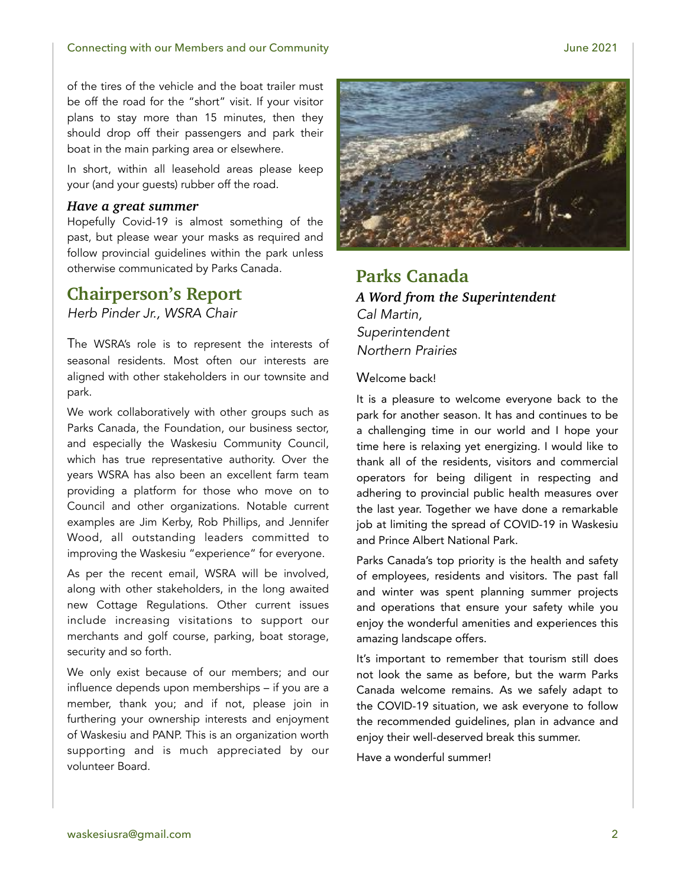of the tires of the vehicle and the boat trailer must be off the road for the "short" visit. If your visitor plans to stay more than 15 minutes, then they should drop off their passengers and park their boat in the main parking area or elsewhere.

In short, within all leasehold areas please keep your (and your guests) rubber off the road.

#### *Have a great summer*

Hopefully Covid-19 is almost something of the past, but please wear your masks as required and follow provincial guidelines within the park unless otherwise communicated by Parks Canada.

# **Chairperson's Report**

*Herb Pinder Jr., WSRA Chair* 

The WSRA's role is to represent the interests of seasonal residents. Most often our interests are aligned with other stakeholders in our townsite and park.

We work collaboratively with other groups such as Parks Canada, the Foundation, our business sector, and especially the Waskesiu Community Council, which has true representative authority. Over the years WSRA has also been an excellent farm team providing a platform for those who move on to Council and other organizations. Notable current examples are Jim Kerby, Rob Phillips, and Jennifer Wood, all outstanding leaders committed to improving the Waskesiu "experience" for everyone.

As per the recent email, WSRA will be involved, along with other stakeholders, in the long awaited new Cottage Regulations. Other current issues include increasing visitations to support our merchants and golf course, parking, boat storage, security and so forth.

We only exist because of our members; and our influence depends upon memberships – if you are a member, thank you; and if not, please join in furthering your ownership interests and enjoyment of Waskesiu and PANP. This is an organization worth supporting and is much appreciated by our volunteer Board.



# **Parks Canada**

*A Word from the Superintendent Cal Martin, Superintendent Northern Prairies*

## Welcome back!

It is a pleasure to welcome everyone back to the park for another season. It has and continues to be a challenging time in our world and I hope your time here is relaxing yet energizing. I would like to thank all of the residents, visitors and commercial operators for being diligent in respecting and adhering to provincial public health measures over the last year. Together we have done a remarkable job at limiting the spread of COVID-19 in Waskesiu and Prince Albert National Park.

Parks Canada's top priority is the health and safety of employees, residents and visitors. The past fall and winter was spent planning summer projects and operations that ensure your safety while you enjoy the wonderful amenities and experiences this amazing landscape offers.

It's important to remember that tourism still does not look the same as before, but the warm Parks Canada welcome remains. As we safely adapt to the COVID-19 situation, we ask everyone to follow the recommended guidelines, plan in advance and enjoy their well-deserved break this summer.

Have a wonderful summer!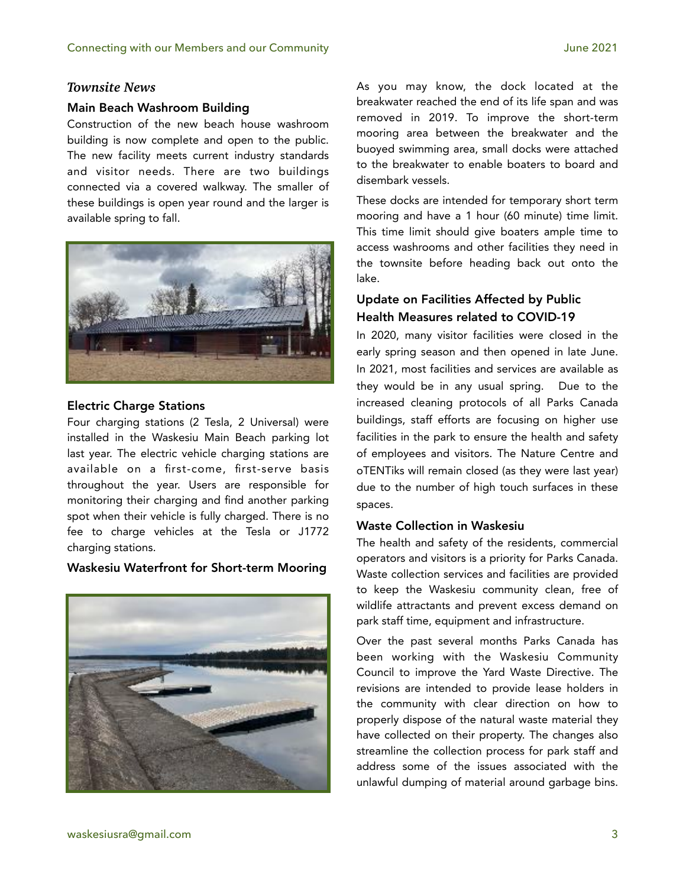#### *Townsite News*

#### Main Beach Washroom Building

Construction of the new beach house washroom building is now complete and open to the public. The new facility meets current industry standards and visitor needs. There are two buildings connected via a covered walkway. The smaller of these buildings is open year round and the larger is available spring to fall.



#### Electric Charge Stations

Four charging stations (2 Tesla, 2 Universal) were installed in the Waskesiu Main Beach parking lot last year. The electric vehicle charging stations are available on a first-come, first-serve basis throughout the year. Users are responsible for monitoring their charging and find another parking spot when their vehicle is fully charged. There is no fee to charge vehicles at the Tesla or J1772 charging stations.

#### Waskesiu Waterfront for Short-term Mooring



As you may know, the dock located at the breakwater reached the end of its life span and was removed in 2019. To improve the short-term mooring area between the breakwater and the buoyed swimming area, small docks were attached to the breakwater to enable boaters to board and disembark vessels.

These docks are intended for temporary short term mooring and have a 1 hour (60 minute) time limit. This time limit should give boaters ample time to access washrooms and other facilities they need in the townsite before heading back out onto the lake.

# Update on Facilities Affected by Public Health Measures related to COVID-19

In 2020, many visitor facilities were closed in the early spring season and then opened in late June. In 2021, most facilities and services are available as they would be in any usual spring. Due to the increased cleaning protocols of all Parks Canada buildings, staff efforts are focusing on higher use facilities in the park to ensure the health and safety of employees and visitors. The Nature Centre and oTENTiks will remain closed (as they were last year) due to the number of high touch surfaces in these spaces.

# Waste Collection in Waskesiu

The health and safety of the residents, commercial operators and visitors is a priority for Parks Canada. Waste collection services and facilities are provided to keep the Waskesiu community clean, free of wildlife attractants and prevent excess demand on park staff time, equipment and infrastructure.

Over the past several months Parks Canada has been working with the Waskesiu Community Council to improve the Yard Waste Directive. The revisions are intended to provide lease holders in the community with clear direction on how to properly dispose of the natural waste material they have collected on their property. The changes also streamline the collection process for park staff and address some of the issues associated with the unlawful dumping of material around garbage bins.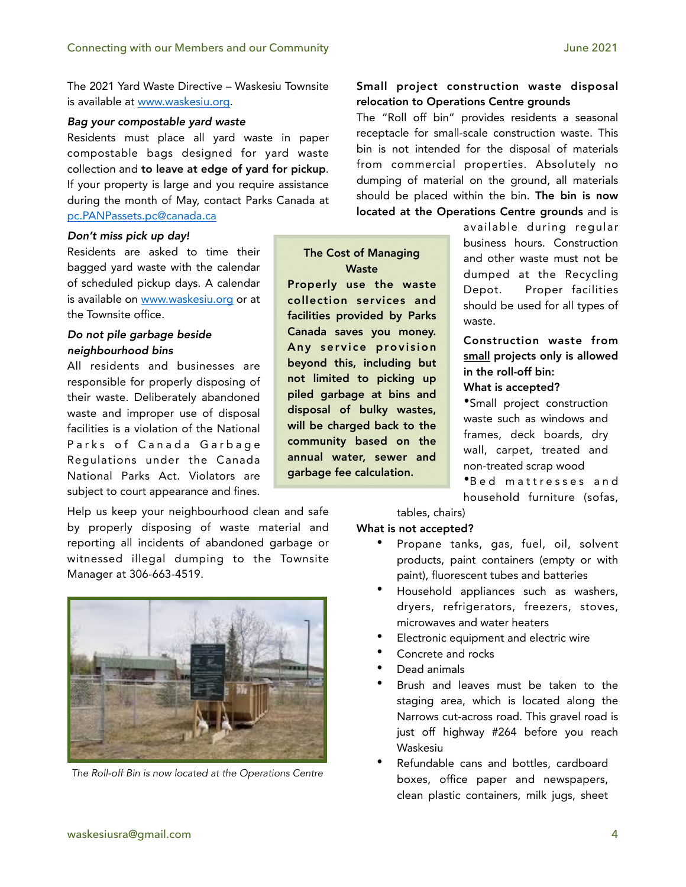The 2021 Yard Waste Directive – Waskesiu Townsite is available at [www.waskesiu.org](http://www.waskesiu.org).

#### *Bag your compostable yard waste*

Residents must place all yard waste in paper compostable bags designed for yard waste collection and to leave at edge of yard for pickup. If your property is large and you require assistance during the month of May, contact Parks Canada at [pc.PANPassets.pc@canada.ca](mailto:pc.PANPassets.pc@canada.ca)

#### *Don't miss pick up day!*

Residents are asked to time their bagged yard waste with the calendar of scheduled pickup days. A calendar is available on [www.waskesiu.org](http://www.waskesiu.org) or at the Townsite office.

#### *Do not pile garbage beside neighbourhood bins*

All residents and businesses are responsible for properly disposing of their waste. Deliberately abandoned waste and improper use of disposal facilities is a violation of the National Parks of Canada Garbage Regulations under the Canada National Parks Act. Violators are subject to court appearance and fines.

Help us keep your neighbourhood clean and safe by properly disposing of waste material and reporting all incidents of abandoned garbage or witnessed illegal dumping to the Townsite Manager at 306-663-4519.



*The Roll-off Bin is now located at the Operations Centre* 

### Small project construction waste disposal relocation to Operations Centre grounds

The "Roll off bin" provides residents a seasonal receptacle for small-scale construction waste. This bin is not intended for the disposal of materials from commercial properties. Absolutely no dumping of material on the ground, all materials should be placed within the bin. The bin is now located at the Operations Centre grounds and is

#### The Cost of Managing **Waste**

Properly use the waste collection services and facilities provided by Parks Canada saves you money. Any service provision beyond this, including but not limited to picking up piled garbage at bins and disposal of bulky wastes, will be charged back to the community based on the annual water, sewer and garbage fee calculation.

available during regular business hours. Construction and other waste must not be dumped at the Recycling Depot. Proper facilities should be used for all types of waste.

# Construction waste from small projects only is allowed in the roll-off bin:

### What is accepted?

•Small project construction waste such as windows and frames, deck boards, dry wall, carpet, treated and non-treated scrap wood

\*Bed mattresses and household furniture (sofas,

tables, chairs)

#### What is not accepted?

- Propane tanks, gas, fuel, oil, solvent products, paint containers (empty or with paint), fluorescent tubes and batteries
- Household appliances such as washers, dryers, refrigerators, freezers, stoves, microwaves and water heaters
- Electronic equipment and electric wire
- Concrete and rocks
- Dead animals
- Brush and leaves must be taken to the staging area, which is located along the Narrows cut-across road. This gravel road is just off highway #264 before you reach Waskesiu
- Refundable cans and bottles, cardboard boxes, office paper and newspapers, clean plastic containers, milk jugs, sheet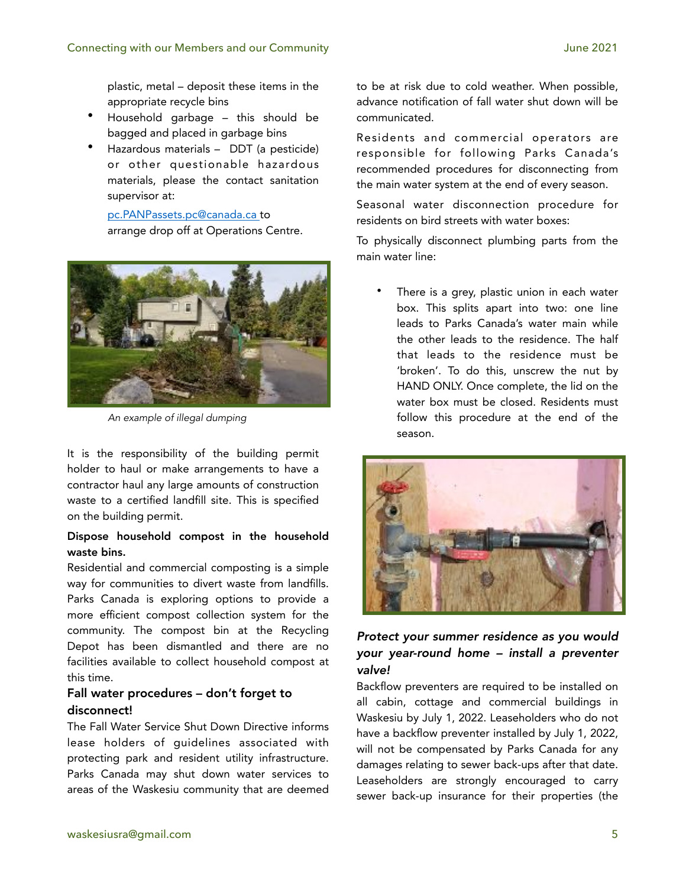plastic, metal – deposit these items in the appropriate recycle bins

- Household garbage this should be bagged and placed in garbage bins
- Hazardous materials DDT (a pesticide) or other questionable hazardous materials, please the contact sanitation supervisor at:

[pc.PANPassets.pc@canada.ca](mailto:pc.PANPassets.pc@canada.ca) to arrange drop off at Operations Centre.



*An example of illegal dumping*

It is the responsibility of the building permit holder to haul or make arrangements to have a contractor haul any large amounts of construction waste to a certified landfill site. This is specified on the building permit.

## Dispose household compost in the household waste bins.

Residential and commercial composting is a simple way for communities to divert waste from landfills. Parks Canada is exploring options to provide a more efficient compost collection system for the community. The compost bin at the Recycling Depot has been dismantled and there are no facilities available to collect household compost at this time.

# Fall water procedures – don't forget to disconnect!

The Fall Water Service Shut Down Directive informs lease holders of guidelines associated with protecting park and resident utility infrastructure. Parks Canada may shut down water services to areas of the Waskesiu community that are deemed to be at risk due to cold weather. When possible, advance notification of fall water shut down will be communicated.

Residents and commercial operators are responsible for following Parks Canada's recommended procedures for disconnecting from the main water system at the end of every season.

Seasonal water disconnection procedure for residents on bird streets with water boxes:

To physically disconnect plumbing parts from the main water line:

• There is a grey, plastic union in each water box. This splits apart into two: one line leads to Parks Canada's water main while the other leads to the residence. The half that leads to the residence must be 'broken'. To do this, unscrew the nut by HAND ONLY. Once complete, the lid on the water box must be closed. Residents must follow this procedure at the end of the season.



# *Protect your summer residence as you would your year-round home – install a preventer valve!*

Backflow preventers are required to be installed on all cabin, cottage and commercial buildings in Waskesiu by July 1, 2022. Leaseholders who do not have a backflow preventer installed by July 1, 2022, will not be compensated by Parks Canada for any damages relating to sewer back-ups after that date. Leaseholders are strongly encouraged to carry sewer back-up insurance for their properties (the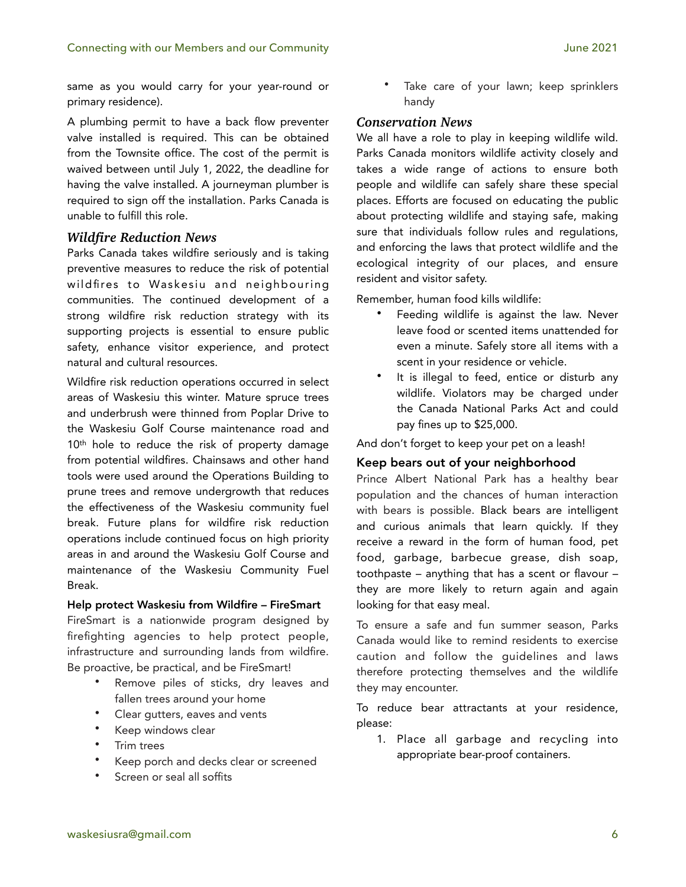same as you would carry for your year-round or primary residence).

A plumbing permit to have a back flow preventer valve installed is required. This can be obtained from the Townsite office. The cost of the permit is waived between until July 1, 2022, the deadline for having the valve installed. A journeyman plumber is required to sign off the installation. Parks Canada is unable to fulfill this role.

#### *Wildfire Reduction News*

Parks Canada takes wildfire seriously and is taking preventive measures to reduce the risk of potential wildfires to Waskesiu and neighbouring communities. The continued development of a strong wildfire risk reduction strategy with its supporting projects is essential to ensure public safety, enhance visitor experience, and protect natural and cultural resources.

Wildfire risk reduction operations occurred in select areas of Waskesiu this winter. Mature spruce trees and underbrush were thinned from Poplar Drive to the Waskesiu Golf Course maintenance road and 10<sup>th</sup> hole to reduce the risk of property damage from potential wildfires. Chainsaws and other hand tools were used around the Operations Building to prune trees and remove undergrowth that reduces the effectiveness of the Waskesiu community fuel break. Future plans for wildfire risk reduction operations include continued focus on high priority areas in and around the Waskesiu Golf Course and maintenance of the Waskesiu Community Fuel Break.

#### Help protect Waskesiu from Wildfire – FireSmart

FireSmart is a nationwide program designed by firefighting agencies to help protect people, infrastructure and surrounding lands from wildfire. Be proactive, be practical, and be FireSmart!

- Remove piles of sticks, dry leaves and fallen trees around your home
- Clear gutters, eaves and vents
- Keep windows clear
- Trim trees
- Keep porch and decks clear or screened
- Screen or seal all soffits

Take care of your lawn; keep sprinklers handy

## *Conservation News*

We all have a role to play in keeping wildlife wild. Parks Canada monitors wildlife activity closely and takes a wide range of actions to ensure both people and wildlife can safely share these special places. Efforts are focused on educating the public about protecting wildlife and staying safe, making sure that individuals follow rules and regulations, and enforcing the laws that protect wildlife and the ecological integrity of our places, and ensure resident and visitor safety.

Remember, human food kills wildlife:

- Feeding wildlife is against the law. Never leave food or scented items unattended for even a minute. Safely store all items with a scent in your residence or vehicle.
- It is illegal to feed, entice or disturb any wildlife. Violators may be charged under the Canada National Parks Act and could pay fines up to \$25,000.

And don't forget to keep your pet on a leash!

#### Keep bears out of your neighborhood

Prince Albert National Park has a healthy bear population and the chances of human interaction with bears is possible. Black bears are intelligent and curious animals that learn quickly. If they receive a reward in the form of human food, pet food, garbage, barbecue grease, dish soap, toothpaste – anything that has a scent or flavour – they are more likely to return again and again looking for that easy meal.

To ensure a safe and fun summer season, Parks Canada would like to remind residents to exercise caution and follow the guidelines and laws therefore protecting themselves and the wildlife they may encounter.

To reduce bear attractants at your residence, please:

1. Place all garbage and recycling into appropriate bear-proof containers.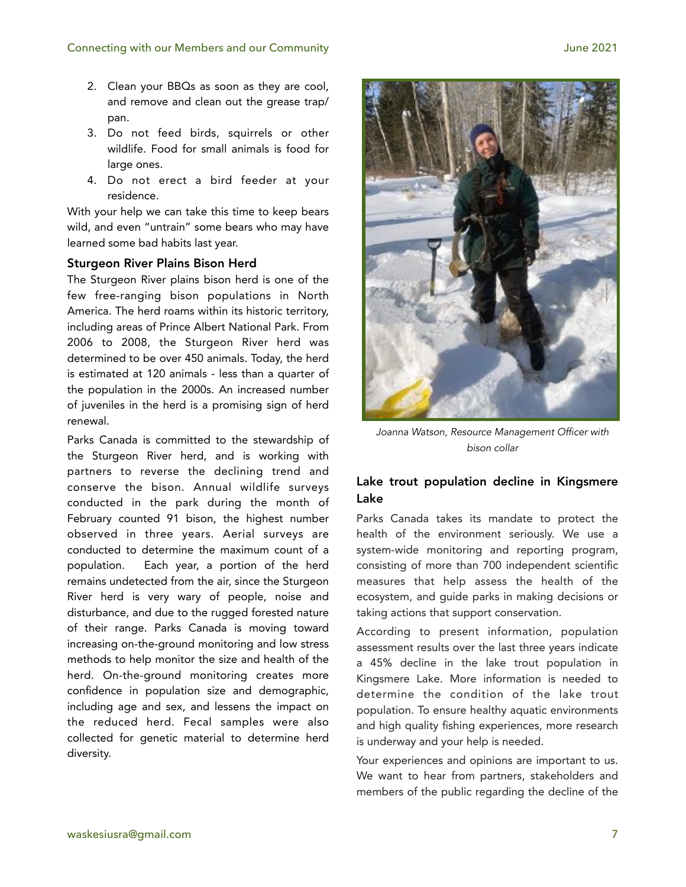- 2. Clean your BBQs as soon as they are cool, and remove and clean out the grease trap/ pan.
- 3. Do not feed birds, squirrels or other wildlife. Food for small animals is food for large ones.
- 4. Do not erect a bird feeder at your residence.

With your help we can take this time to keep bears wild, and even "untrain" some bears who may have learned some bad habits last year.

#### Sturgeon River Plains Bison Herd

The Sturgeon River plains bison herd is one of the few free-ranging bison populations in North America. The herd roams within its historic territory, including areas of Prince Albert National Park. From 2006 to 2008, the Sturgeon River herd was determined to be over 450 animals. Today, the herd is estimated at 120 animals - less than a quarter of the population in the 2000s. An increased number of juveniles in the herd is a promising sign of herd renewal.

Parks Canada is committed to the stewardship of the Sturgeon River herd, and is working with partners to reverse the declining trend and conserve the bison. Annual wildlife surveys conducted in the park during the month of February counted 91 bison, the highest number observed in three years. Aerial surveys are conducted to determine the maximum count of a population. Each year, a portion of the herd remains undetected from the air, since the Sturgeon River herd is very wary of people, noise and disturbance, and due to the rugged forested nature of their range. Parks Canada is moving toward increasing on-the-ground monitoring and low stress methods to help monitor the size and health of the herd. On-the-ground monitoring creates more confidence in population size and demographic, including age and sex, and lessens the impact on the reduced herd. Fecal samples were also collected for genetic material to determine herd diversity.



*Joanna Watson, Resource Management Officer with bison collar*

# Lake trout population decline in Kingsmere Lake

Parks Canada takes its mandate to protect the health of the environment seriously. We use a system-wide monitoring and reporting program, consisting of more than 700 independent scientific measures that help assess the health of the ecosystem, and guide parks in making decisions or taking actions that support conservation.

According to present information, population assessment results over the last three years indicate a 45% decline in the lake trout population in Kingsmere Lake. More information is needed to determine the condition of the lake trout population. To ensure healthy aquatic environments and high quality fishing experiences, more research is underway and your help is needed.

Your experiences and opinions are important to us. We want to hear from partners, stakeholders and members of the public regarding the decline of the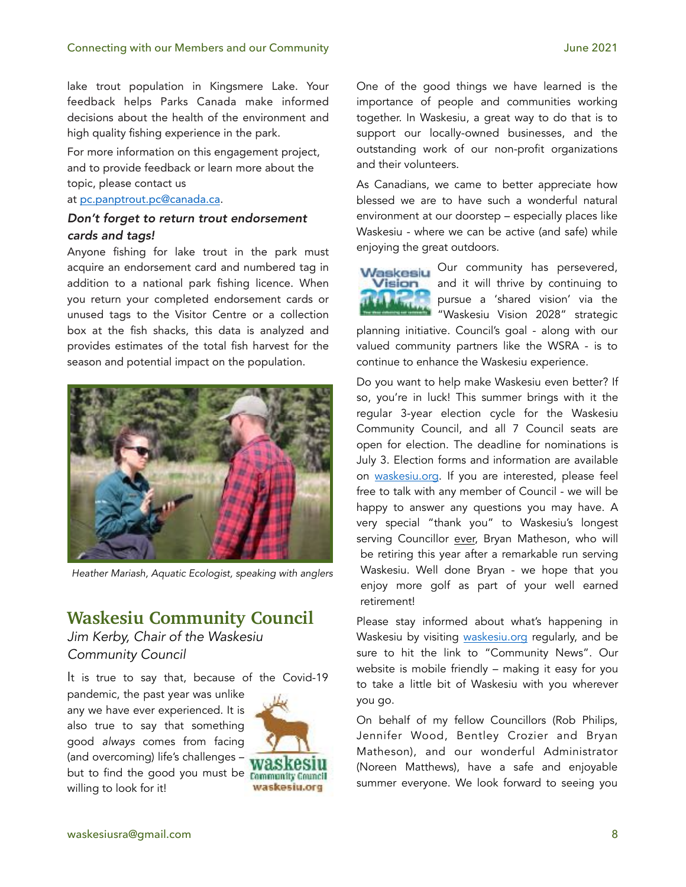lake trout population in Kingsmere Lake. Your feedback helps Parks Canada make informed decisions about the health of the environment and high quality fishing experience in the park.

For more information on this engagement project, and to provide feedback or learn more about the topic, please contact us

#### at [pc.panptrout.pc@canada.ca.](mailto:pc.panptrout.pc@canada.ca)

## *Don't forget to return trout endorsement cards and tags!*

Anyone fishing for lake trout in the park must acquire an endorsement card and numbered tag in addition to a national park fishing licence. When you return your completed endorsement cards or unused tags to the Visitor Centre or a collection box at the fish shacks, this data is analyzed and provides estimates of the total fish harvest for the season and potential impact on the population.



*Heather Mariash, Aquatic Ecologist, speaking with anglers*

# **Waskesiu Community Council**  *Jim Kerby, Chair of the Waskesiu*

# *Community Council*

It is true to say that, because of the Covid-19

pandemic, the past year was unlike any we have ever experienced. It is also true to say that something good *always* comes from facing (and overcoming) life's challenges – but to find the good you must be community Council willing to look for it!



One of the good things we have learned is the importance of people and communities working together. In Waskesiu, a great way to do that is to support our locally-owned businesses, and the outstanding work of our non-profit organizations and their volunteers.

As Canadians, we came to better appreciate how blessed we are to have such a wonderful natural environment at our doorstep – especially places like Waskesiu - where we can be active (and safe) while enjoying the great outdoors.



Waskesiu Our community has persevered, and it will thrive by continuing to pursue a 'shared vision' via the "Waskesiu Vision 2028" strategic

planning initiative. Council's goal - along with our valued community partners like the WSRA - is to continue to enhance the Waskesiu experience.

Do you want to help make Waskesiu even better? If so, you're in luck! This summer brings with it the regular 3-year election cycle for the Waskesiu Community Council, and all 7 Council seats are open for election. The deadline for nominations is July 3. Election forms and information are available on [waskesiu.org.](http://waskesiu.org) If you are interested, please feel free to talk with any member of Council - we will be happy to answer any questions you may have. A very special "thank you" to Waskesiu's longest serving Councillor ever, Bryan Matheson, who will be retiring this year after a remarkable run serving Waskesiu. Well done Bryan - we hope that you enjoy more golf as part of your well earned retirement!

Please stay informed about what's happening in Waskesiu by visiting [waskesiu.org](http://waskesiu.org) regularly, and be sure to hit the link to "Community News". Our website is mobile friendly – making it easy for you to take a little bit of Waskesiu with you wherever you go.

On behalf of my fellow Councillors (Rob Philips, Jennifer Wood, Bentley Crozier and Bryan Matheson), and our wonderful Administrator (Noreen Matthews), have a safe and enjoyable summer everyone. We look forward to seeing you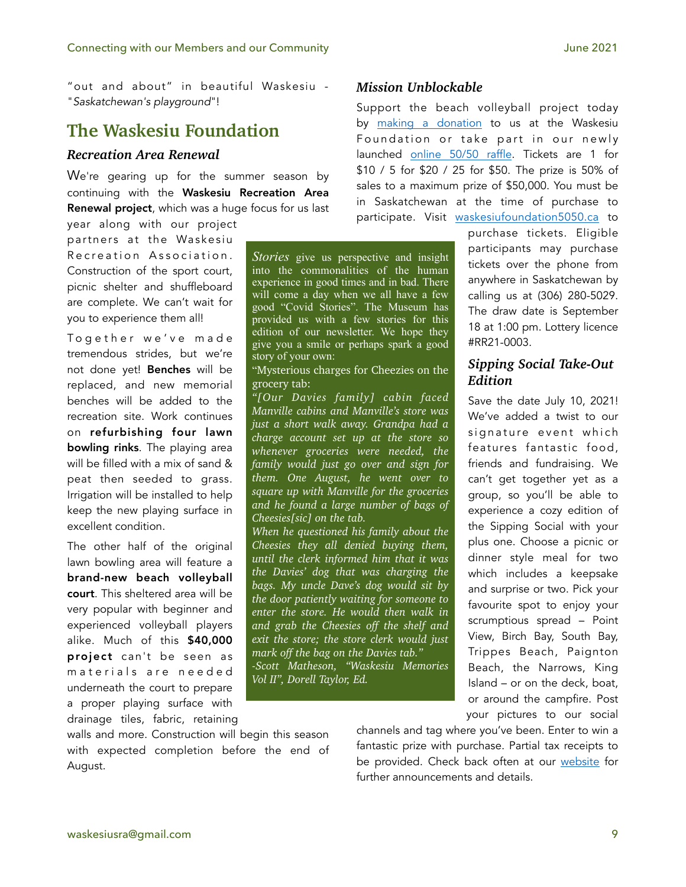"out and about" in beautiful Waskesiu - "*Saskatchewan's playground*"!

# **The Waskesiu Foundation**

## *Recreation Area Renewal*

We're gearing up for the summer season by continuing with the Waskesiu Recreation Area Renewal project, which was a huge focus for us last

year along with our project partners at the Waskesiu Recreation Association. Construction of the sport court, picnic shelter and shuffleboard are complete. We can't wait for you to experience them all!

To gether we've made tremendous strides, but we're not done yet! Benches will be replaced, and new memorial benches will be added to the recreation site. Work continues on refurbishing four lawn bowling rinks. The playing area will be filled with a mix of sand & peat then seeded to grass. Irrigation will be installed to help keep the new playing surface in excellent condition.

The other half of the original lawn bowling area will feature a brand-new beach volleyball court. This sheltered area will be very popular with beginner and experienced volleyball players alike. Much of this \$40,000 project can't be seen as materials are needed underneath the court to prepare a proper playing surface with drainage tiles, fabric, retaining

walls and more. Construction will begin this season with expected completion before the end of August.

## *Mission Unblockable*

Support the beach volleyball project today by [making a donation](https://www.waskesiufoundation.ca/donate-now.html) to us at the Waskesiu Foundation or take part in our newly launched [online 50/50 raffle.](https://waskesiufoundation5050.ca) Tickets are 1 for \$10 / 5 for \$20 / 25 for \$50. The prize is 50% of sales to a maximum prize of \$50,000. You must be in Saskatchewan at the time of purchase to participate. Visit [waskesiufoundation5050.ca](https://waskesiufoundation5050.ca) to

*Stories* give us perspective and insight into the commonalities of the human experience in good times and in bad. There will come a day when we all have a few good "Covid Stories". The Museum has provided us with a few stories for this edition of our newsletter. We hope they give you a smile or perhaps spark a good story of your own:

"Mysterious charges for Cheezies on the grocery tab:

*"[Our Davies family] cabin faced Manville cabins and Manville's store was just a short walk away. Grandpa had a charge account set up at the store so whenever groceries were needed, the family would just go over and sign for them. One August, he went over to square up with Manville for the groceries and he found a large number of bags of Cheesies[sic] on the tab.* 

*When he questioned his family about the Cheesies they all denied buying them, until the clerk informed him that it was the Davies' dog that was charging the bags. My uncle Dave's dog would sit by the door patiently waiting for someone to enter the store. He would then walk in and grab the Cheesies off the shelf and exit the store; the store clerk would just mark off the bag on the Davies tab." -Scott Matheson, "Waskesiu Memories Vol II", Dorell Taylor, Ed.*

purchase tickets. Eligible participants may purchase tickets over the phone from anywhere in Saskatchewan by calling us at (306) 280-5029. The draw date is September 18 at 1:00 pm. Lottery licence #RR21-0003.

# *Sipping Social Take-Out Edition*

Save the date July 10, 2021! We've added a twist to our signature event which features fantastic food, friends and fundraising. We can't get together yet as a group, so you'll be able to experience a cozy edition of the Sipping Social with your plus one. Choose a picnic or dinner style meal for two which includes a keepsake and surprise or two. Pick your favourite spot to enjoy your scrumptious spread – Point View, Birch Bay, South Bay, Trippes Beach, Paignton Beach, the Narrows, King Island – or on the deck, boat, or around the campfire. Post your pictures to our social

channels and tag where you've been. Enter to win a fantastic prize with purchase. Partial tax receipts to be provided. Check back often at our [website](https://www.waskesiufoundation.ca/sipping-social.html) for further announcements and details.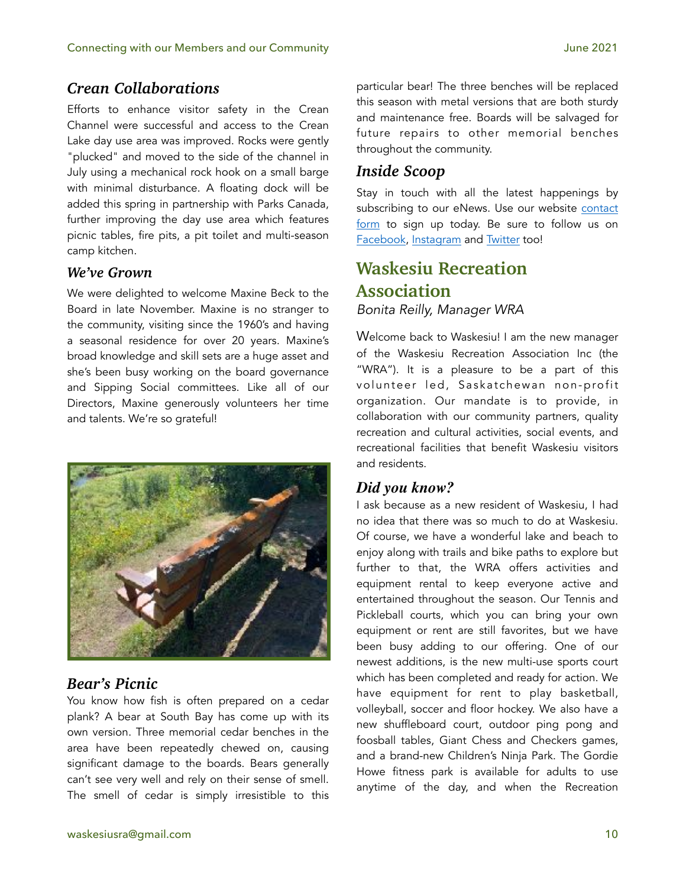# *Crean Collaborations*

Efforts to enhance visitor safety in the Crean Channel were successful and access to the Crean Lake day use area was improved. Rocks were gently "plucked" and moved to the side of the channel in July using a mechanical rock hook on a small barge with minimal disturbance. A floating dock will be added this spring in partnership with Parks Canada, further improving the day use area which features picnic tables, fire pits, a pit toilet and multi-season camp kitchen.

# *We've Grown*

We were delighted to welcome Maxine Beck to the Board in late November. Maxine is no stranger to the community, visiting since the 1960's and having a seasonal residence for over 20 years. Maxine's broad knowledge and skill sets are a huge asset and she's been busy working on the board governance and Sipping Social committees. Like all of our Directors, Maxine generously volunteers her time and talents. We're so grateful!



# *Bear's Picnic*

You know how fish is often prepared on a cedar plank? A bear at South Bay has come up with its own version. Three memorial cedar benches in the area have been repeatedly chewed on, causing significant damage to the boards. Bears generally can't see very well and rely on their sense of smell. The smell of cedar is simply irresistible to this

particular bear! The three benches will be replaced this season with metal versions that are both sturdy and maintenance free. Boards will be salvaged for future repairs to other memorial benches throughout the community.

# *Inside Scoop*

Stay in touch with all the latest happenings by subscribing to our eNews. Use our website [contact](https://www.waskesiufoundation.ca/contact.html) [form](https://www.waskesiufoundation.ca/contact.html) to sign up today. Be sure to follow us on [Facebook](https://www.facebook.com/WaskesiuFoundation/), [Instagram](https://www.instagram.com/waskesiufoundation/) and [Twitter](https://twitter.com/waskesiufound) too!

# **Waskesiu Recreation Association**  *Bonita Reilly, Manager WRA*

Welcome back to Waskesiu! I am the new manager of the Waskesiu Recreation Association Inc (the "WRA"). It is a pleasure to be a part of this volunteer led, Saskatchewan non-profit organization. Our mandate is to provide, in collaboration with our community partners, quality recreation and cultural activities, social events, and recreational facilities that benefit Waskesiu visitors and residents.

# *Did you know?*

I ask because as a new resident of Waskesiu, I had no idea that there was so much to do at Waskesiu. Of course, we have a wonderful lake and beach to enjoy along with trails and bike paths to explore but further to that, the WRA offers activities and equipment rental to keep everyone active and entertained throughout the season. Our Tennis and Pickleball courts, which you can bring your own equipment or rent are still favorites, but we have been busy adding to our offering. One of our newest additions, is the new multi-use sports court which has been completed and ready for action. We have equipment for rent to play basketball, volleyball, soccer and floor hockey. We also have a new shuffleboard court, outdoor ping pong and foosball tables, Giant Chess and Checkers games, and a brand-new Children's Ninja Park. The Gordie Howe fitness park is available for adults to use anytime of the day, and when the Recreation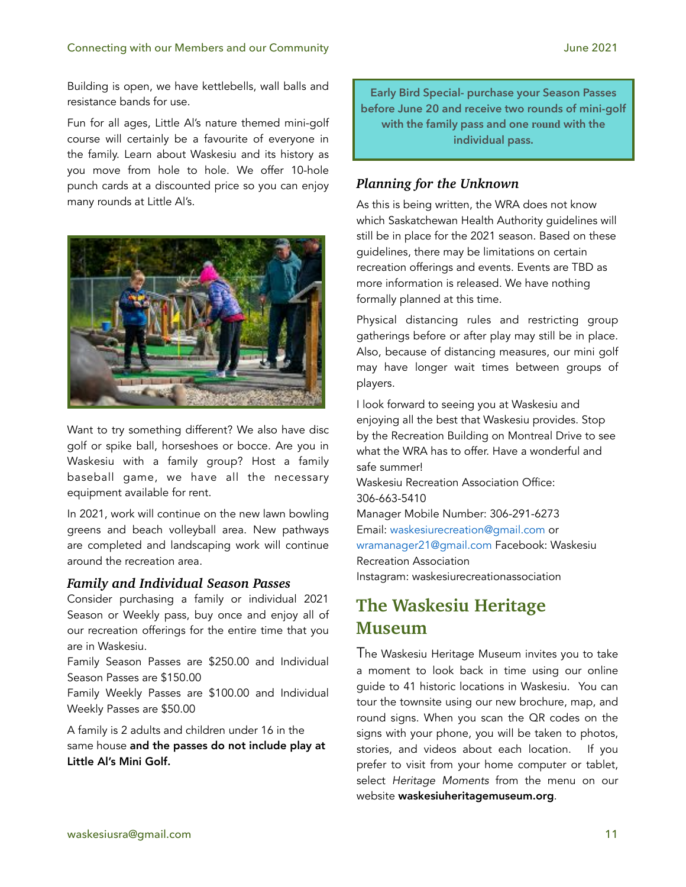Building is open, we have kettlebells, wall balls and resistance bands for use.

Fun for all ages, Little Al's nature themed mini-golf course will certainly be a favourite of everyone in the family. Learn about Waskesiu and its history as you move from hole to hole. We offer 10-hole punch cards at a discounted price so you can enjoy many rounds at Little Al's.



Want to try something different? We also have disc golf or spike ball, horseshoes or bocce. Are you in Waskesiu with a family group? Host a family baseball game, we have all the necessary equipment available for rent.

In 2021, work will continue on the new lawn bowling greens and beach volleyball area. New pathways are completed and landscaping work will continue around the recreation area.

#### *Family and Individual Season Passes*

Consider purchasing a family or individual 2021 Season or Weekly pass, buy once and enjoy all of our recreation offerings for the entire time that you are in Waskesiu.

Family Season Passes are \$250.00 and Individual Season Passes are \$150.00

Family Weekly Passes are \$100.00 and Individual Weekly Passes are \$50.00

A family is 2 adults and children under 16 in the same house and the passes do not include play at Little Al's Mini Golf.

**Early Bird Special- purchase your Season Passes before June 20 and receive two rounds of mini-golf with the family pass and one round with the individual pass.**

# *Planning for the Unknown*

As this is being written, the WRA does not know which Saskatchewan Health Authority guidelines will still be in place for the 2021 season. Based on these guidelines, there may be limitations on certain recreation offerings and events. Events are TBD as more information is released. We have nothing formally planned at this time.

Physical distancing rules and restricting group gatherings before or after play may still be in place. Also, because of distancing measures, our mini golf may have longer wait times between groups of players.

I look forward to seeing you at Waskesiu and enjoying all the best that Waskesiu provides. Stop by the Recreation Building on Montreal Drive to see what the WRA has to offer. Have a wonderful and safe summer!

Waskesiu Recreation Association Office: 306-663-5410 Manager Mobile Number: 306-291-6273

Email: waskesiurecreation@gmail.com or wramanager21@gmail.com Facebook: Waskesiu Recreation Association Instagram: waskesiurecreationassociation

# **The Waskesiu Heritage Museum**

The Waskesiu Heritage Museum invites you to take a moment to look back in time using our online guide to 41 historic locations in Waskesiu. You can tour the townsite using our new brochure, map, and round signs. When you scan the QR codes on the signs with your phone, you will be taken to photos, stories, and videos about each location. If you prefer to visit from your home computer or tablet, select *Heritage Moments* from the menu on our website waskesiuheritagemuseum.org.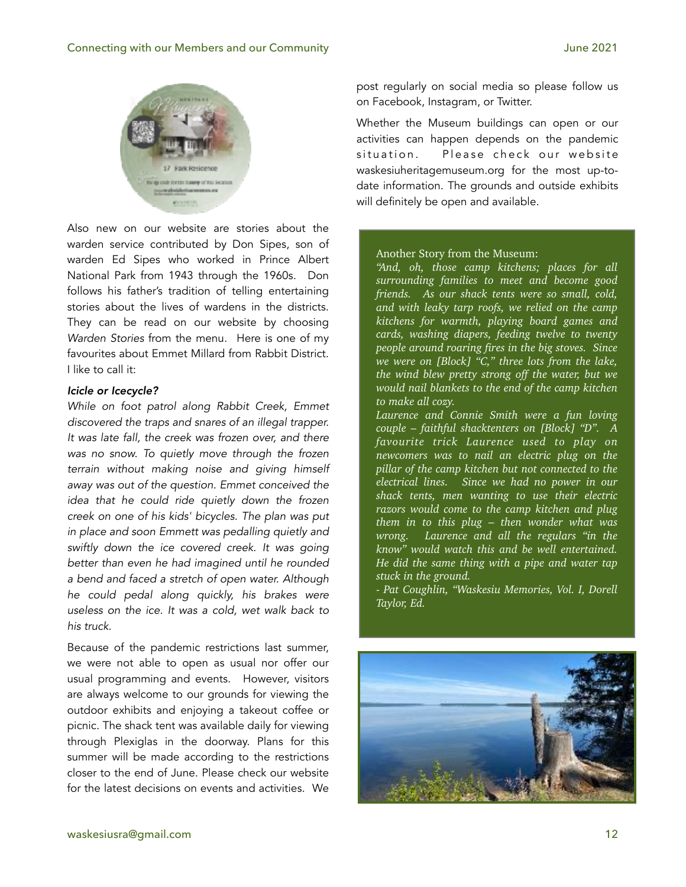

Also new on our website are stories about the warden service contributed by Don Sipes, son of warden Ed Sipes who worked in Prince Albert National Park from 1943 through the 1960s. Don follows his father's tradition of telling entertaining stories about the lives of wardens in the districts. They can be read on our website by choosing *Warden Stories* from the menu. Here is one of my favourites about Emmet Millard from Rabbit District. I like to call it:

#### *Icicle or Icecycle?*

*While on foot patrol along Rabbit Creek, Emmet discovered the traps and snares of an illegal trapper. It was late fall, the creek was frozen over, and there was no snow. To quietly move through the frozen terrain without making noise and giving himself away was out of the question. Emmet conceived the idea that he could ride quietly down the frozen creek on one of his kids' bicycles. The plan was put in place and soon Emmett was pedalling quietly and swiftly down the ice covered creek. It was going better than even he had imagined until he rounded a bend and faced a stretch of open water. Although he could pedal along quickly, his brakes were useless on the ice. It was a cold, wet walk back to his truck.* 

Because of the pandemic restrictions last summer, we were not able to open as usual nor offer our usual programming and events. However, visitors are always welcome to our grounds for viewing the outdoor exhibits and enjoying a takeout coffee or picnic. The shack tent was available daily for viewing through Plexiglas in the doorway. Plans for this summer will be made according to the restrictions closer to the end of June. Please check our website for the latest decisions on events and activities. We

post regularly on social media so please follow us on Facebook, Instagram, or Twitter.

Whether the Museum buildings can open or our activities can happen depends on the pandemic situation. Please check our website waskesiuheritagemuseum.org for the most up-todate information. The grounds and outside exhibits will definitely be open and available.

#### Another Story from the Museum:

*"And, oh, those camp kitchens; places for all surrounding families to meet and become good friends. As our shack tents were so small, cold, and with leaky tarp roofs, we relied on the camp kitchens for warmth, playing board games and cards, washing diapers, feeding twelve to twenty people around roaring fires in the big stoves. Since we were on [Block] "C," three lots from the lake, the wind blew pretty strong off the water, but we would nail blankets to the end of the camp kitchen to make all cozy.* 

*Laurence and Connie Smith were a fun loving couple – faithful shacktenters on [Block] "D". A favourite trick Laurence used to play on newcomers was to nail an electric plug on the pillar of the camp kitchen but not connected to the electrical lines. Since we had no power in our shack tents, men wanting to use their electric razors would come to the camp kitchen and plug them in to this plug – then wonder what was wrong. Laurence and all the regulars "in the know" would watch this and be well entertained. He did the same thing with a pipe and water tap stuck in the ground.* 

*- Pat Coughlin, "Waskesiu Memories, Vol. I, Dorell Taylor, Ed.*

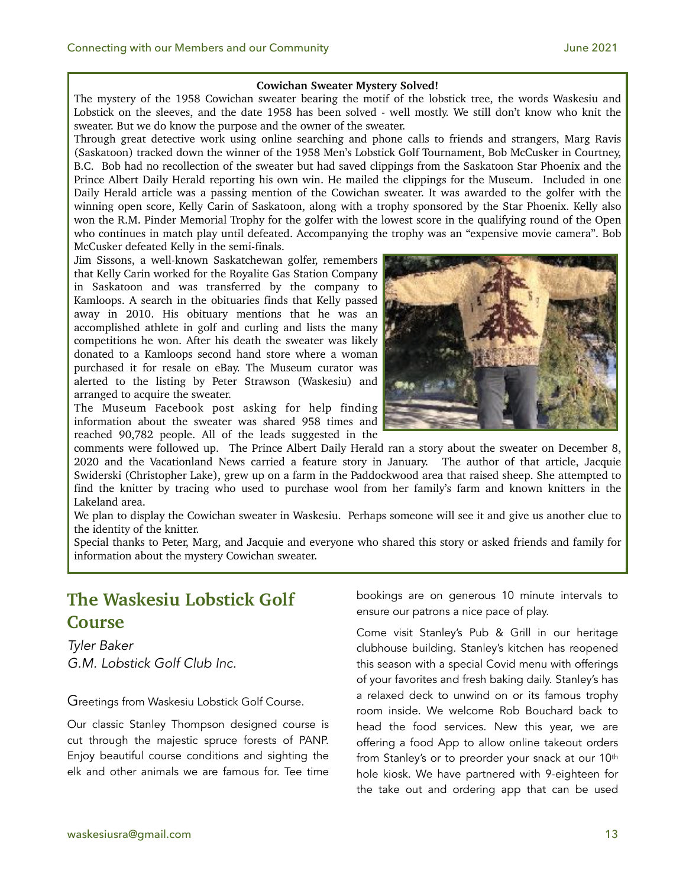#### **Cowichan Sweater Mystery Solved!**

The mystery of the 1958 Cowichan sweater bearing the motif of the lobstick tree, the words Waskesiu and Lobstick on the sleeves, and the date 1958 has been solved - well mostly. We still don't know who knit the sweater. But we do know the purpose and the owner of the sweater.

Through great detective work using online searching and phone calls to friends and strangers, Marg Ravis (Saskatoon) tracked down the winner of the 1958 Men's Lobstick Golf Tournament, Bob McCusker in Courtney, B.C. Bob had no recollection of the sweater but had saved clippings from the Saskatoon Star Phoenix and the Prince Albert Daily Herald reporting his own win. He mailed the clippings for the Museum. Included in one Daily Herald article was a passing mention of the Cowichan sweater. It was awarded to the golfer with the winning open score, Kelly Carin of Saskatoon, along with a trophy sponsored by the Star Phoenix. Kelly also won the R.M. Pinder Memorial Trophy for the golfer with the lowest score in the qualifying round of the Open who continues in match play until defeated. Accompanying the trophy was an "expensive movie camera". Bob McCusker defeated Kelly in the semi-finals.

Jim Sissons, a well-known Saskatchewan golfer, remembers that Kelly Carin worked for the Royalite Gas Station Company in Saskatoon and was transferred by the company to Kamloops. A search in the obituaries finds that Kelly passed away in 2010. His obituary mentions that he was an accomplished athlete in golf and curling and lists the many competitions he won. After his death the sweater was likely donated to a Kamloops second hand store where a woman purchased it for resale on eBay. The Museum curator was alerted to the listing by Peter Strawson (Waskesiu) and arranged to acquire the sweater.

The Museum Facebook post asking for help finding information about the sweater was shared 958 times and reached 90,782 people. All of the leads suggested in the



comments were followed up. The Prince Albert Daily Herald ran a story about the sweater on December 8, 2020 and the Vacationland News carried a feature story in January. The author of that article, Jacquie Swiderski (Christopher Lake), grew up on a farm in the Paddockwood area that raised sheep. She attempted to find the knitter by tracing who used to purchase wool from her family's farm and known knitters in the Lakeland area.

We plan to display the Cowichan sweater in Waskesiu. Perhaps someone will see it and give us another clue to the identity of the knitter.

Special thanks to Peter, Marg, and Jacquie and everyone who shared this story or asked friends and family for information about the mystery Cowichan sweater.

# **The Waskesiu Lobstick Golf Course**

*Tyler Baker G.M. Lobstick Golf Club Inc.* 

Greetings from Waskesiu Lobstick Golf Course.

Our classic Stanley Thompson designed course is cut through the majestic spruce forests of PANP. Enjoy beautiful course conditions and sighting the elk and other animals we are famous for. Tee time

bookings are on generous 10 minute intervals to ensure our patrons a nice pace of play.

Come visit Stanley's Pub & Grill in our heritage clubhouse building. Stanley's kitchen has reopened this season with a special Covid menu with offerings of your favorites and fresh baking daily. Stanley's has a relaxed deck to unwind on or its famous trophy room inside. We welcome Rob Bouchard back to head the food services. New this year, we are offering a food App to allow online takeout orders from Stanley's or to preorder your snack at our 10th hole kiosk. We have partnered with 9-eighteen for the take out and ordering app that can be used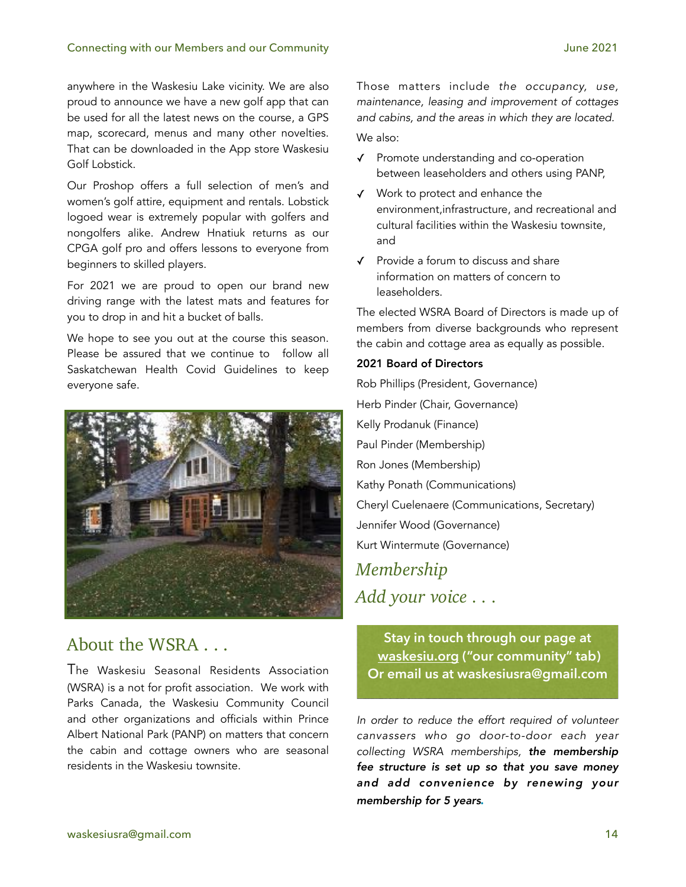anywhere in the Waskesiu Lake vicinity. We are also proud to announce we have a new golf app that can be used for all the latest news on the course, a GPS map, scorecard, menus and many other novelties. That can be downloaded in the App store Waskesiu Golf Lobstick.

Our Proshop offers a full selection of men's and women's golf attire, equipment and rentals. Lobstick logoed wear is extremely popular with golfers and nongolfers alike. Andrew Hnatiuk returns as our CPGA golf pro and offers lessons to everyone from beginners to skilled players.

For 2021 we are proud to open our brand new driving range with the latest mats and features for you to drop in and hit a bucket of balls.

We hope to see you out at the course this season. Please be assured that we continue to follow all Saskatchewan Health Covid Guidelines to keep everyone safe.



# About the WSRA . . .

The Waskesiu Seasonal Residents Association (WSRA) is a not for profit association. We work with Parks Canada, the Waskesiu Community Council and other organizations and officials within Prince Albert National Park (PANP) on matters that concern the cabin and cottage owners who are seasonal residents in the Waskesiu townsite.

Those matters include *the occupancy, use, maintenance, leasing and improvement of cottages and cabins, and the areas in which they are located.* 

We also:

- ✓ Promote understanding and co-operation between leaseholders and others using PANP,
- ✓ Work to protect and enhance the environment,infrastructure, and recreational and cultural facilities within the Waskesiu townsite, and
- ✓ Provide a forum to discuss and share information on matters of concern to leaseholders.

The elected WSRA Board of Directors is made up of members from diverse backgrounds who represent the cabin and cottage area as equally as possible.

#### 2021 Board of Directors

Rob Phillips (President, Governance) Herb Pinder (Chair, Governance) Kelly Prodanuk (Finance) Paul Pinder (Membership) Ron Jones (Membership) Kathy Ponath (Communications) Cheryl Cuelenaere (Communications, Secretary) Jennifer Wood (Governance) Kurt Wintermute (Governance)

*Membership Add your voice . . .*

**Stay in touch through our page at [waskesiu.org](http://waskesiu.org) ("our community" tab) Or email us at waskesiusra@gmail.com**

*In order to reduce the effort required of volunteer canvassers who go door-to-door each year collecting WSRA memberships, the membership fee structure is set up so that you save money and add convenience by renewing your membership for 5 years.*